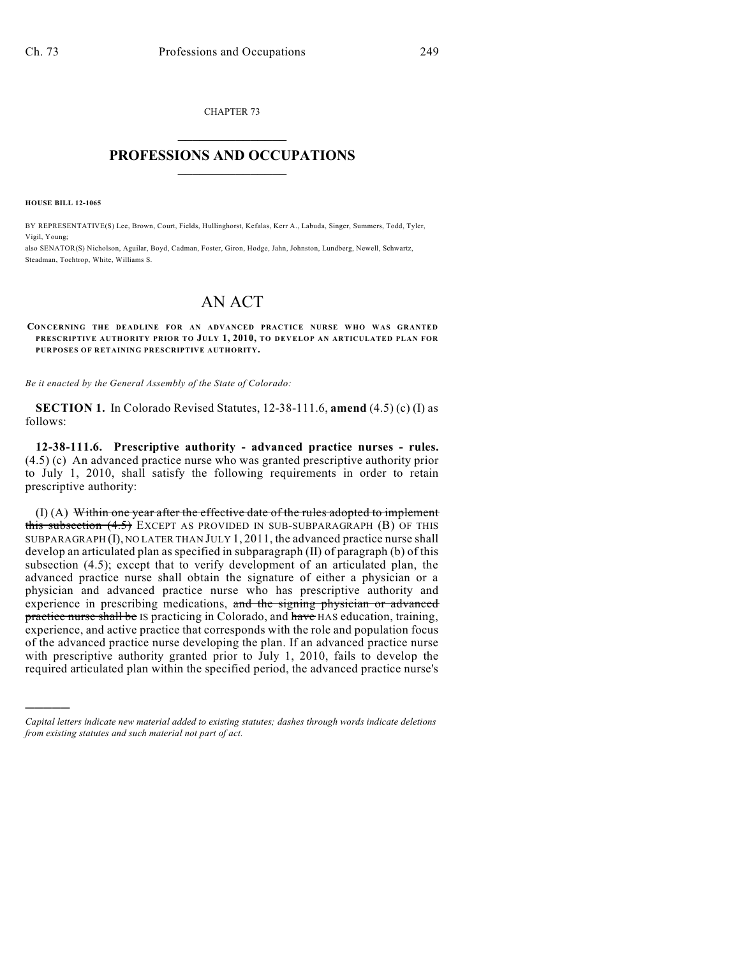CHAPTER 73  $\mathcal{L}_\text{max}$  . The set of the set of the set of the set of the set of the set of the set of the set of the set of the set of the set of the set of the set of the set of the set of the set of the set of the set of the set

## **PROFESSIONS AND OCCUPATIONS**  $\frac{1}{2}$  ,  $\frac{1}{2}$  ,  $\frac{1}{2}$  ,  $\frac{1}{2}$  ,  $\frac{1}{2}$  ,  $\frac{1}{2}$  ,  $\frac{1}{2}$

**HOUSE BILL 12-1065**

)))))

BY REPRESENTATIVE(S) Lee, Brown, Court, Fields, Hullinghorst, Kefalas, Kerr A., Labuda, Singer, Summers, Todd, Tyler, Vigil, Young;

also SENATOR(S) Nicholson, Aguilar, Boyd, Cadman, Foster, Giron, Hodge, Jahn, Johnston, Lundberg, Newell, Schwartz, Steadman, Tochtrop, White, Williams S.

## AN ACT

## **CONCERNING THE DEADLINE FOR AN ADVANCED PRACTICE NURSE WHO WAS GRANTED PRESCRIPTIVE AUTHORITY PRIOR TO JULY 1, 2010, TO DEVELOP AN ARTICULATED PLAN FOR PURPOSES OF RETAINING PRESCRIPTIVE AUTHORITY.**

*Be it enacted by the General Assembly of the State of Colorado:*

**SECTION 1.** In Colorado Revised Statutes, 12-38-111.6, **amend** (4.5) (c) (I) as follows:

**12-38-111.6. Prescriptive authority - advanced practice nurses - rules.** (4.5) (c) An advanced practice nurse who was granted prescriptive authority prior to July 1, 2010, shall satisfy the following requirements in order to retain prescriptive authority:

(I) (A) Within one year after the effective date of the rules adopted to implement this subsection (4.5) EXCEPT AS PROVIDED IN SUB-SUBPARAGRAPH (B) OF THIS SUBPARAGRAPH (I), NO LATER THAN JULY 1, 2011, the advanced practice nurse shall develop an articulated plan as specified in subparagraph (II) of paragraph (b) of this subsection (4.5); except that to verify development of an articulated plan, the advanced practice nurse shall obtain the signature of either a physician or a physician and advanced practice nurse who has prescriptive authority and experience in prescribing medications, and the signing physician or advanced practice nurse shall be IS practicing in Colorado, and have HAS education, training, experience, and active practice that corresponds with the role and population focus of the advanced practice nurse developing the plan. If an advanced practice nurse with prescriptive authority granted prior to July 1, 2010, fails to develop the required articulated plan within the specified period, the advanced practice nurse's

*Capital letters indicate new material added to existing statutes; dashes through words indicate deletions from existing statutes and such material not part of act.*